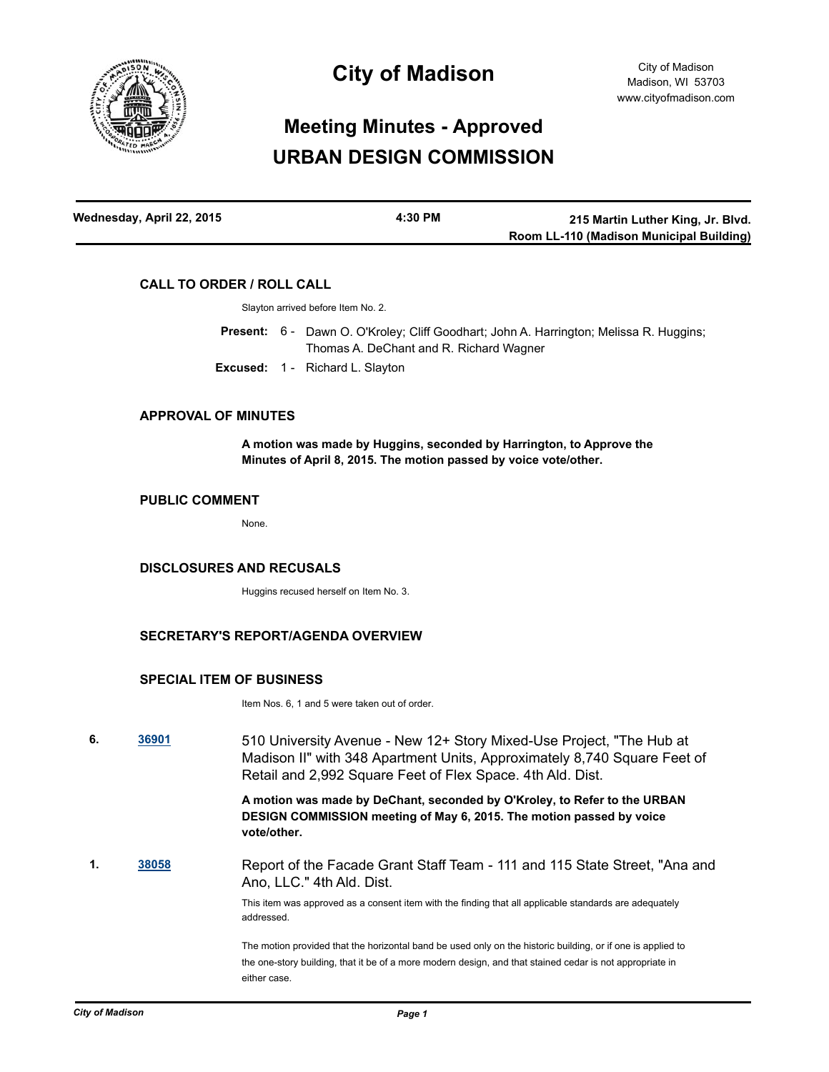

## **City of Madison**

# **Meeting Minutes - Approved URBAN DESIGN COMMISSION**

| Wednesday, April 22, 2015 | 4:30 PM | 215 Martin Luther King, Jr. Blvd.        |
|---------------------------|---------|------------------------------------------|
|                           |         | Room LL-110 (Madison Municipal Building) |

#### **CALL TO ORDER / ROLL CALL**

Slayton arrived before Item No. 2.

Present: 6 - Dawn O. O'Kroley; Cliff Goodhart; John A. Harrington; Melissa R. Huggins; Thomas A. DeChant and R. Richard Wagner

**Excused:** 1 - Richard L. Slayton

## **APPROVAL OF MINUTES**

**A motion was made by Huggins, seconded by Harrington, to Approve the Minutes of April 8, 2015. The motion passed by voice vote/other.**

#### **PUBLIC COMMENT**

None.

#### **DISCLOSURES AND RECUSALS**

Huggins recused herself on Item No. 3.

#### **SECRETARY'S REPORT/AGENDA OVERVIEW**

#### **SPECIAL ITEM OF BUSINESS**

Item Nos. 6, 1 and 5 were taken out of order.

**6. [36901](http://madison.legistar.com/gateway.aspx?m=l&id=/matter.aspx?key=39797)** 510 University Avenue - New 12+ Story Mixed-Use Project, "The Hub at Madison II" with 348 Apartment Units, Approximately 8,740 Square Feet of Retail and 2,992 Square Feet of Flex Space. 4th Ald. Dist.

> **A motion was made by DeChant, seconded by O'Kroley, to Refer to the URBAN DESIGN COMMISSION meeting of May 6, 2015. The motion passed by voice vote/other.**

**1. [38058](http://madison.legistar.com/gateway.aspx?m=l&id=/matter.aspx?key=40778)** Report of the Facade Grant Staff Team - 111 and 115 State Street, "Ana and Ano, LLC." 4th Ald. Dist.

> This item was approved as a consent item with the finding that all applicable standards are adequately addressed.

The motion provided that the horizontal band be used only on the historic building, or if one is applied to the one-story building, that it be of a more modern design, and that stained cedar is not appropriate in either case.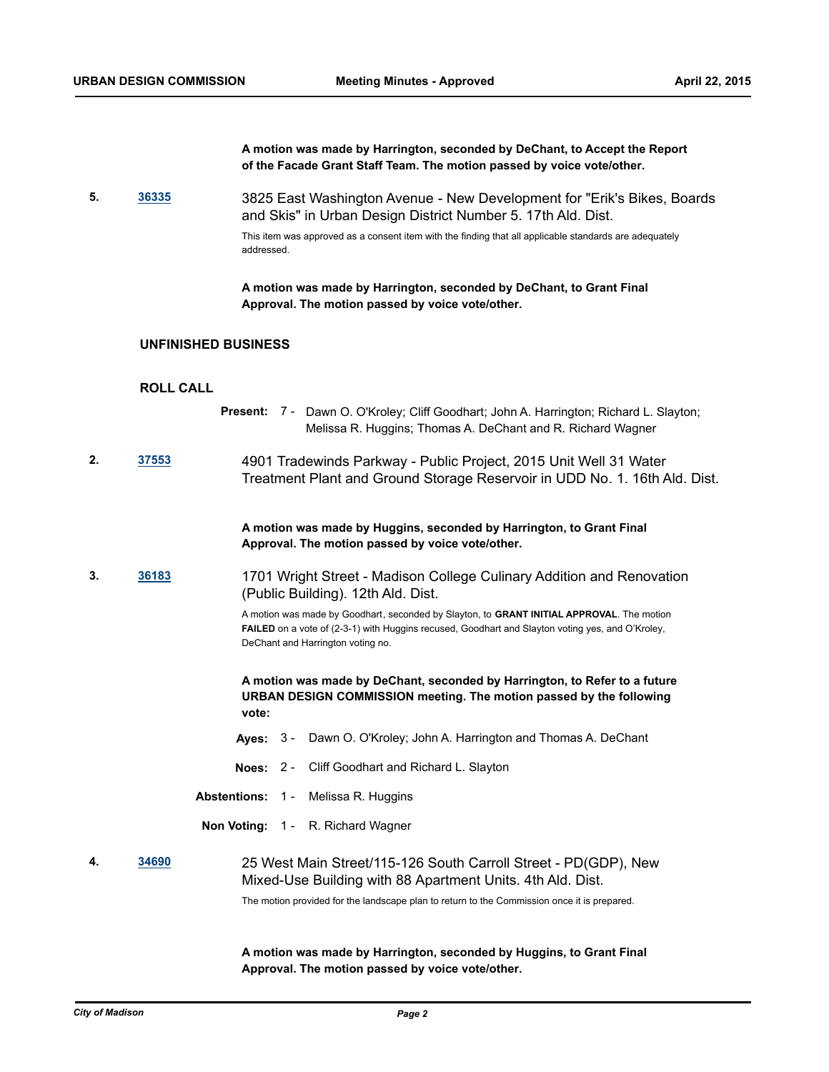|    |                            | A motion was made by Harrington, seconded by DeChant, to Accept the Report<br>of the Facade Grant Staff Team. The motion passed by voice vote/other.                                                                                      |
|----|----------------------------|-------------------------------------------------------------------------------------------------------------------------------------------------------------------------------------------------------------------------------------------|
| 5. | 36335                      | 3825 East Washington Avenue - New Development for "Erik's Bikes, Boards<br>and Skis" in Urban Design District Number 5. 17th Ald. Dist.                                                                                                   |
|    |                            | This item was approved as a consent item with the finding that all applicable standards are adequately<br>addressed.                                                                                                                      |
|    |                            | A motion was made by Harrington, seconded by DeChant, to Grant Final<br>Approval. The motion passed by voice vote/other.                                                                                                                  |
|    | <b>UNFINISHED BUSINESS</b> |                                                                                                                                                                                                                                           |
|    | <b>ROLL CALL</b>           |                                                                                                                                                                                                                                           |
|    |                            | Present: 7 - Dawn O. O'Kroley; Cliff Goodhart; John A. Harrington; Richard L. Slayton;<br>Melissa R. Huggins; Thomas A. DeChant and R. Richard Wagner                                                                                     |
| 2. | 37553                      | 4901 Tradewinds Parkway - Public Project, 2015 Unit Well 31 Water<br>Treatment Plant and Ground Storage Reservoir in UDD No. 1. 16th Ald. Dist.                                                                                           |
|    |                            | A motion was made by Huggins, seconded by Harrington, to Grant Final<br>Approval. The motion passed by voice vote/other.                                                                                                                  |
| 3. | <u>36183</u>               | 1701 Wright Street - Madison College Culinary Addition and Renovation<br>(Public Building). 12th Ald. Dist.                                                                                                                               |
|    |                            | A motion was made by Goodhart, seconded by Slayton, to GRANT INITIAL APPROVAL. The motion<br><b>FAILED</b> on a vote of (2-3-1) with Huggins recused, Goodhart and Slayton voting yes, and O'Kroley,<br>DeChant and Harrington voting no. |
|    |                            | A motion was made by DeChant, seconded by Harrington, to Refer to a future<br>URBAN DESIGN COMMISSION meeting. The motion passed by the following<br>vote:                                                                                |
|    |                            | Ayes: 3 - Dawn O. O'Kroley; John A. Harrington and Thomas A. DeChant                                                                                                                                                                      |
|    |                            | Cliff Goodhart and Richard L. Slayton<br>Noes: $2 -$                                                                                                                                                                                      |
|    |                            | <b>Abstentions:</b><br>Melissa R. Huggins<br>$1 -$                                                                                                                                                                                        |
|    |                            | Non Voting: 1 - R. Richard Wagner                                                                                                                                                                                                         |
| 4. | 34690                      | 25 West Main Street/115-126 South Carroll Street - PD(GDP), New<br>Mixed-Use Building with 88 Apartment Units. 4th Ald. Dist.<br>The motion provided for the landscape plan to return to the Commission once it is prepared.              |
|    |                            |                                                                                                                                                                                                                                           |

**A motion was made by Harrington, seconded by Huggins, to Grant Final Approval. The motion passed by voice vote/other.**